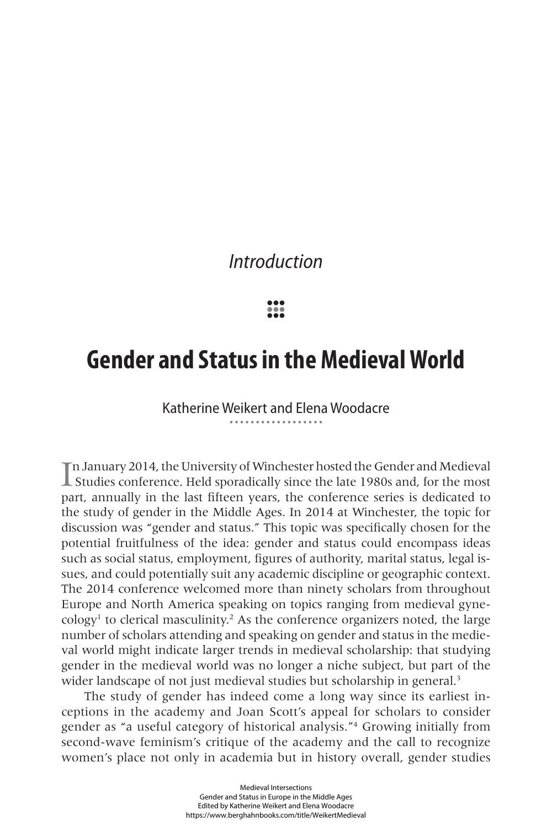## *Introduction*

**••• ••• •••**

## **Gender and Status in the Medieval World**

Katherine Weikert and Elena Woodacre

I n January 2014, the University of Winchester hosted the Gender and Medieval Studies conference. Held sporadically since the late 1980s and, for the most part, annually in the last fifteen years, the conference series is dedicated to the study of gender in the Middle Ages. In 2014 at Winchester, the topic for discussion was "gender and status." This topic was specifically chosen for the potential fruitfulness of the idea: gender and status could encompass ideas such as social status, employment, figures of authority, marital status, legal issues, and could potentially suit any academic discipline or geographic context. The 2014 conference welcomed more than ninety scholars from throughout Europe and North America speaking on topics ranging from medieval gyne- $\text{cology}$ <sup>1</sup> to clerical masculinity.<sup>2</sup> As the conference organizers noted, the large number of scholars attending and speaking on gender and status in the medieval world might indicate larger trends in medieval scholarship: that studying gender in the medieval world was no longer a niche subject, but part of the wider landscape of not just medieval studies but scholarship in general.<sup>3</sup>

The study of gender has indeed come a long way since its earliest inceptions in the academy and Joan Scott's appeal for scholars to consider gender as "a useful category of historical analysis."4 Growing initially from second-wave feminism's critique of the academy and the call to recognize women's place not only in academia but in history overall, gender studies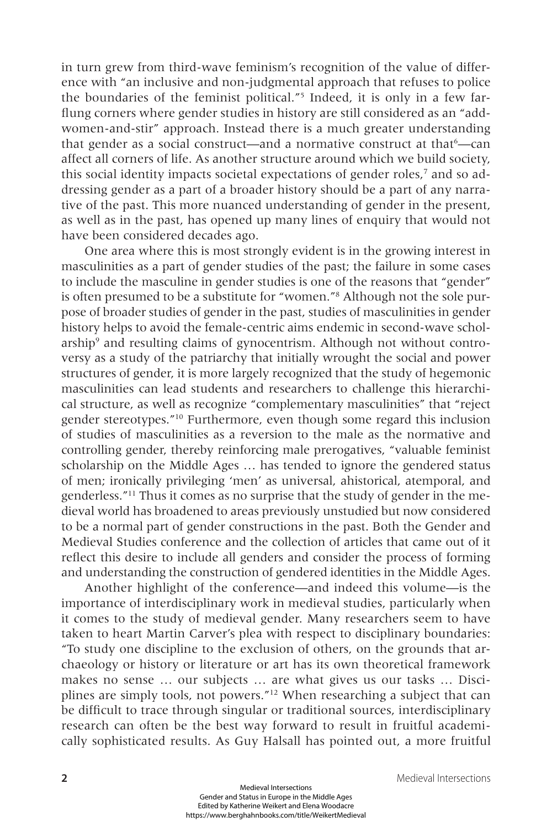in turn grew from third-wave feminism's recognition of the value of difference with "an inclusive and non-judgmental approach that refuses to police the boundaries of the feminist political."5 Indeed, it is only in a few farflung corners where gender studies in history are still considered as an "addwomen-and-stir" approach. Instead there is a much greater understanding that gender as a social construct—and a normative construct at that<sup>6</sup>—can affect all corners of life. As another structure around which we build society, this social identity impacts societal expectations of gender roles,<sup>7</sup> and so addressing gender as a part of a broader history should be a part of any narrative of the past. This more nuanced understanding of gender in the present, as well as in the past, has opened up many lines of enquiry that would not have been considered decades ago.

One area where this is most strongly evident is in the growing interest in masculinities as a part of gender studies of the past; the failure in some cases to include the masculine in gender studies is one of the reasons that "gender" is often presumed to be a substitute for "women."8 Although not the sole purpose of broader studies of gender in the past, studies of masculinities in gender history helps to avoid the female-centric aims endemic in second-wave scholarship<sup>9</sup> and resulting claims of gynocentrism. Although not without controversy as a study of the patriarchy that initially wrought the social and power structures of gender, it is more largely recognized that the study of hegemonic masculinities can lead students and researchers to challenge this hierarchical structure, as well as recognize "complementary masculinities" that "reject gender stereotypes."10 Furthermore, even though some regard this inclusion of studies of masculinities as a reversion to the male as the normative and controlling gender, thereby reinforcing male prerogatives, "valuable feminist scholarship on the Middle Ages … has tended to ignore the gendered status of men; ironically privileging 'men' as universal, ahistorical, atemporal, and genderless."11 Thus it comes as no surprise that the study of gender in the medieval world has broadened to areas previously unstudied but now considered to be a normal part of gender constructions in the past. Both the Gender and Medieval Studies conference and the collection of articles that came out of it reflect this desire to include all genders and consider the process of forming and understanding the construction of gendered identities in the Middle Ages.

Another highlight of the conference—and indeed this volume—is the importance of interdisciplinary work in medieval studies, particularly when it comes to the study of medieval gender. Many researchers seem to have taken to heart Martin Carver's plea with respect to disciplinary boundaries: "To study one discipline to the exclusion of others, on the grounds that archaeology or history or literature or art has its own theoretical framework makes no sense … our subjects … are what gives us our tasks … Disciplines are simply tools, not powers."12 When researching a subject that can be difficult to trace through singular or traditional sources, interdisciplinary research can often be the best way forward to result in fruitful academically sophisticated results. As Guy Halsall has pointed out, a more fruitful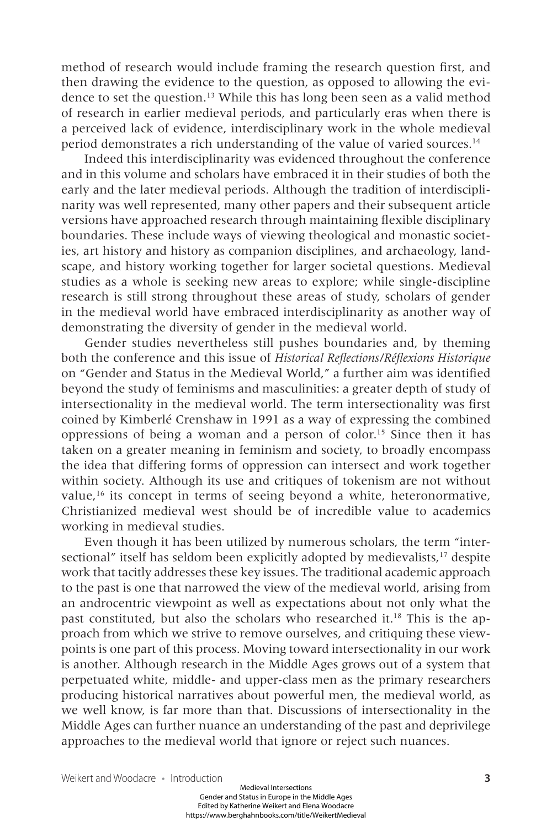method of research would include framing the research question first, and then drawing the evidence to the question, as opposed to allowing the evidence to set the question.13 While this has long been seen as a valid method of research in earlier medieval periods, and particularly eras when there is a perceived lack of evidence, interdisciplinary work in the whole medieval period demonstrates a rich understanding of the value of varied sources.14

Indeed this interdisciplinarity was evidenced throughout the conference and in this volume and scholars have embraced it in their studies of both the early and the later medieval periods. Although the tradition of interdisciplinarity was well represented, many other papers and their subsequent article versions have approached research through maintaining flexible disciplinary boundaries. These include ways of viewing theological and monastic societies, art history and history as companion disciplines, and archaeology, landscape, and history working together for larger societal questions. Medieval studies as a whole is seeking new areas to explore; while single-discipline research is still strong throughout these areas of study, scholars of gender in the medieval world have embraced interdisciplinarity as another way of demonstrating the diversity of gender in the medieval world.

Gender studies nevertheless still pushes boundaries and, by theming both the conference and this issue of *Historical Reflections/Réflexions Historique* on "Gender and Status in the Medieval World," a further aim was identified beyond the study of feminisms and masculinities: a greater depth of study of intersectionality in the medieval world. The term intersectionality was first coined by Kimberlé Crenshaw in 1991 as a way of expressing the combined oppressions of being a woman and a person of color.15 Since then it has taken on a greater meaning in feminism and society, to broadly encompass the idea that differing forms of oppression can intersect and work together within society. Although its use and critiques of tokenism are not without value,16 its concept in terms of seeing beyond a white, heteronormative, Christianized medieval west should be of incredible value to academics working in medieval studies.

Even though it has been utilized by numerous scholars, the term "intersectional" itself has seldom been explicitly adopted by medievalists,<sup>17</sup> despite work that tacitly addresses these key issues. The traditional academic approach to the past is one that narrowed the view of the medieval world, arising from an androcentric viewpoint as well as expectations about not only what the past constituted, but also the scholars who researched it.18 This is the approach from which we strive to remove ourselves, and critiquing these viewpoints is one part of this process. Moving toward intersectionality in our work is another. Although research in the Middle Ages grows out of a system that perpetuated white, middle- and upper-class men as the primary researchers producing historical narratives about powerful men, the medieval world, as we well know, is far more than that. Discussions of intersectionality in the Middle Ages can further nuance an understanding of the past and deprivilege approaches to the medieval world that ignore or reject such nuances.

Weikert and Woodacre • Introduction **3**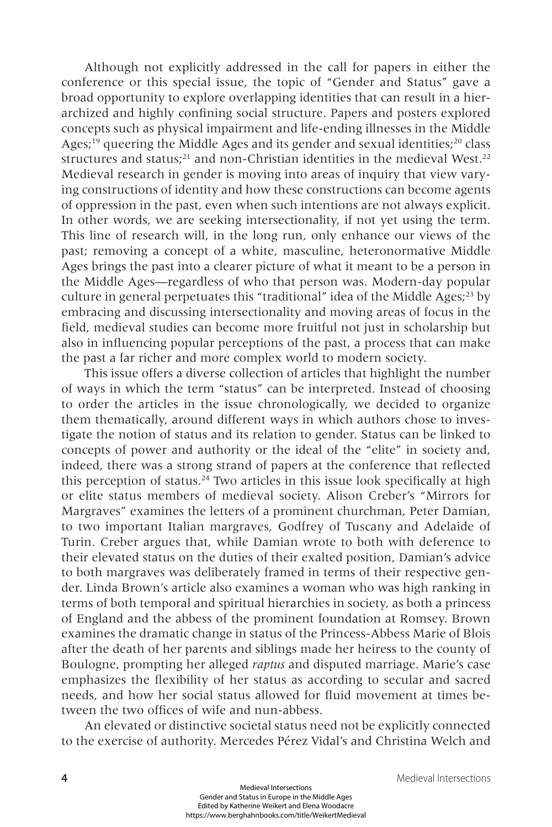Although not explicitly addressed in the call for papers in either the conference or this special issue, the topic of "Gender and Status" gave a broad opportunity to explore overlapping identities that can result in a hierarchized and highly confining social structure. Papers and posters explored concepts such as physical impairment and life-ending illnesses in the Middle Ages;<sup>19</sup> queering the Middle Ages and its gender and sexual identities;<sup>20</sup> class structures and status; $^{21}$  and non-Christian identities in the medieval West. $^{22}$ Medieval research in gender is moving into areas of inquiry that view varying constructions of identity and how these constructions can become agents of oppression in the past, even when such intentions are not always explicit. In other words, we are seeking intersectionality, if not yet using the term. This line of research will, in the long run, only enhance our views of the past; removing a concept of a white, masculine, heteronormative Middle Ages brings the past into a clearer picture of what it meant to be a person in the Middle Ages—regardless of who that person was. Modern-day popular culture in general perpetuates this "traditional" idea of the Middle Ages;<sup>23</sup> by embracing and discussing intersectionality and moving areas of focus in the field, medieval studies can become more fruitful not just in scholarship but also in influencing popular perceptions of the past, a process that can make the past a far richer and more complex world to modern society.

This issue offers a diverse collection of articles that highlight the number of ways in which the term "status" can be interpreted. Instead of choosing to order the articles in the issue chronologically, we decided to organize them thematically, around different ways in which authors chose to investigate the notion of status and its relation to gender. Status can be linked to concepts of power and authority or the ideal of the "elite" in society and, indeed, there was a strong strand of papers at the conference that reflected this perception of status.<sup>24</sup> Two articles in this issue look specifically at high or elite status members of medieval society. Alison Creber's "Mirrors for Margraves" examines the letters of a prominent churchman, Peter Damian, to two important Italian margraves, Godfrey of Tuscany and Adelaide of Turin. Creber argues that, while Damian wrote to both with deference to their elevated status on the duties of their exalted position, Damian's advice to both margraves was deliberately framed in terms of their respective gender. Linda Brown's article also examines a woman who was high ranking in terms of both temporal and spiritual hierarchies in society, as both a princess of England and the abbess of the prominent foundation at Romsey. Brown examines the dramatic change in status of the Princess-Abbess Marie of Blois after the death of her parents and siblings made her heiress to the county of Boulogne, prompting her alleged *raptus* and disputed marriage. Marie's case emphasizes the flexibility of her status as according to secular and sacred needs, and how her social status allowed for fluid movement at times between the two offices of wife and nun-abbess.

An elevated or distinctive societal status need not be explicitly connected to the exercise of authority. Mercedes Pérez Vidal's and Christina Welch and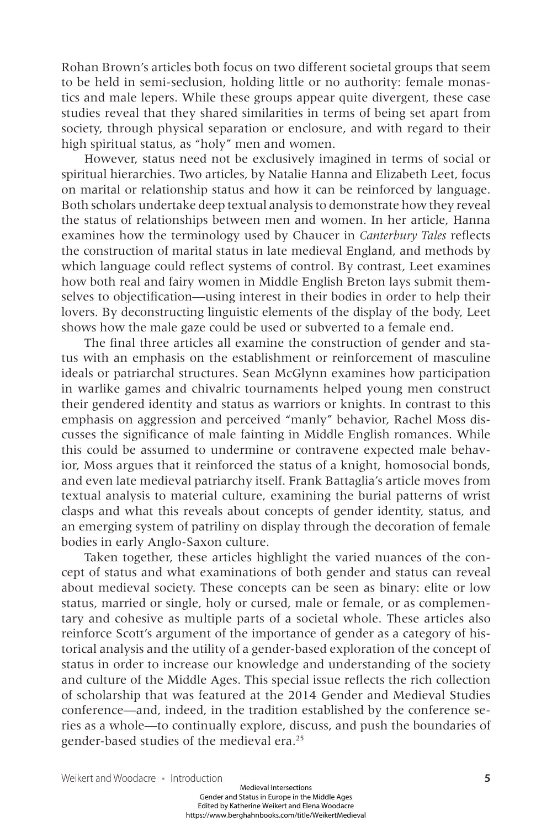Rohan Brown's articles both focus on two different societal groups that seem to be held in semi-seclusion, holding little or no authority: female monastics and male lepers. While these groups appear quite divergent, these case studies reveal that they shared similarities in terms of being set apart from society, through physical separation or enclosure, and with regard to their high spiritual status, as "holy" men and women.

However, status need not be exclusively imagined in terms of social or spiritual hierarchies. Two articles, by Natalie Hanna and Elizabeth Leet, focus on marital or relationship status and how it can be reinforced by language. Both scholars undertake deep textual analysis to demonstrate how they reveal the status of relationships between men and women. In her article, Hanna examines how the terminology used by Chaucer in *Canterbury Tales* reflects the construction of marital status in late medieval England, and methods by which language could reflect systems of control. By contrast, Leet examines how both real and fairy women in Middle English Breton lays submit themselves to objectification—using interest in their bodies in order to help their lovers. By deconstructing linguistic elements of the display of the body, Leet shows how the male gaze could be used or subverted to a female end.

The final three articles all examine the construction of gender and status with an emphasis on the establishment or reinforcement of masculine ideals or patriarchal structures. Sean McGlynn examines how participation in warlike games and chivalric tournaments helped young men construct their gendered identity and status as warriors or knights. In contrast to this emphasis on aggression and perceived "manly" behavior, Rachel Moss discusses the significance of male fainting in Middle English romances. While this could be assumed to undermine or contravene expected male behavior, Moss argues that it reinforced the status of a knight, homosocial bonds, and even late medieval patriarchy itself. Frank Battaglia's article moves from textual analysis to material culture, examining the burial patterns of wrist clasps and what this reveals about concepts of gender identity, status, and an emerging system of patriliny on display through the decoration of female bodies in early Anglo-Saxon culture.

Taken together, these articles highlight the varied nuances of the concept of status and what examinations of both gender and status can reveal about medieval society. These concepts can be seen as binary: elite or low status, married or single, holy or cursed, male or female, or as complementary and cohesive as multiple parts of a societal whole. These articles also reinforce Scott's argument of the importance of gender as a category of historical analysis and the utility of a gender-based exploration of the concept of status in order to increase our knowledge and understanding of the society and culture of the Middle Ages. This special issue reflects the rich collection of scholarship that was featured at the 2014 Gender and Medieval Studies conference—and, indeed, in the tradition established by the conference series as a whole—to continually explore, discuss, and push the boundaries of gender-based studies of the medieval era.<sup>25</sup>

Weikert and Woodacre • Introduction **5**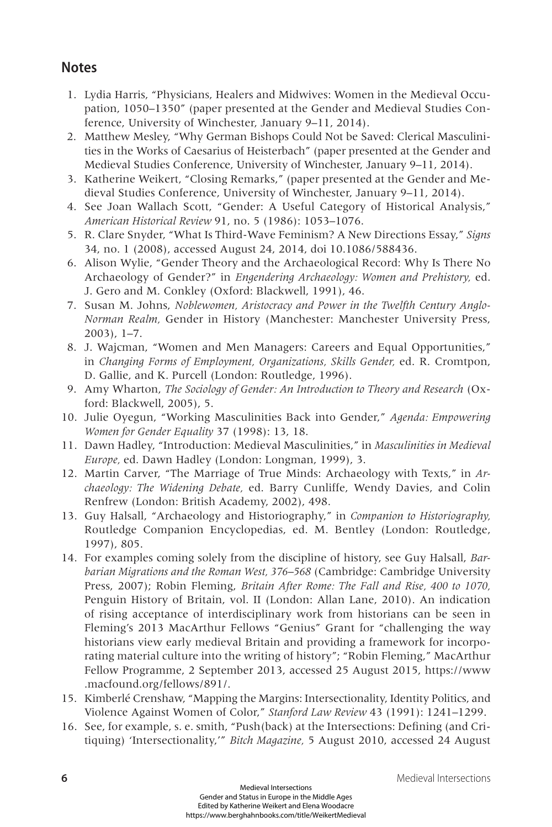## **Notes**

- 1. Lydia Harris, "Physicians, Healers and Midwives: Women in the Medieval Occupation, 1050–1350" (paper presented at the Gender and Medieval Studies Conference, University of Winchester, January 9–11, 2014).
- 2. Matthew Mesley, "Why German Bishops Could Not be Saved: Clerical Masculinities in the Works of Caesarius of Heisterbach" (paper presented at the Gender and Medieval Studies Conference, University of Winchester, January 9–11, 2014).
- 3. Katherine Weikert, "Closing Remarks," (paper presented at the Gender and Medieval Studies Conference, University of Winchester, January 9–11, 2014).
- 4. See Joan Wallach Scott, "Gender: A Useful Category of Historical Analysis," *American Historical Review* 91, no. 5 (1986): 1053–1076.
- 5. R. Clare Snyder, "What Is Third-Wave Feminism? A New Directions Essay," *Signs* 34, no. 1 (2008), accessed August 24, 2014, doi 10.1086/588436.
- 6. Alison Wylie, "Gender Theory and the Archaeological Record: Why Is There No Archaeology of Gender?" in *Engendering Archaeology: Women and Prehistory,* ed. J. Gero and M. Conkley (Oxford: Blackwell, 1991), 46.
- 7. Susan M. Johns, *Noblewomen, Aristocracy and Power in the Twelfth Century Anglo-Norman Realm,* Gender in History (Manchester: Manchester University Press, 2003), 1–7.
- 8. J. Wajcman, "Women and Men Managers: Careers and Equal Opportunities," in *Changing Forms of Employment, Organizations, Skills Gender,* ed. R. Cromtpon, D. Gallie, and K. Purcell (London: Routledge, 1996).
- 9. Amy Wharton, *The Sociology of Gender: An Introduction to Theory and Research* (Oxford: Blackwell, 2005), 5.
- 10. Julie Oyegun, "Working Masculinities Back into Gender," *Agenda: Empowering Women for Gender Equality* 37 (1998): 13, 18.
- 11. Dawn Hadley, "Introduction: Medieval Masculinities," in *Masculinities in Medieval Europe,* ed. Dawn Hadley (London: Longman, 1999), 3.
- 12. Martin Carver, "The Marriage of True Minds: Archaeology with Texts," in *Archaeology: The Widening Debate,* ed. Barry Cunliffe, Wendy Davies, and Colin Renfrew (London: British Academy, 2002), 498.
- 13. Guy Halsall, "Archaeology and Historiography," in *Companion to Historiography,* Routledge Companion Encyclopedias, ed. M. Bentley (London: Routledge, 1997), 805.
- 14. For examples coming solely from the discipline of history, see Guy Halsall, *Barbarian Migrations and the Roman West, 376–568* (Cambridge: Cambridge University Press, 2007); Robin Fleming, *Britain After Rome: The Fall and Rise, 400 to 1070,*  Penguin History of Britain, vol. II (London: Allan Lane, 2010). An indication of rising acceptance of interdisciplinary work from historians can be seen in Fleming's 2013 MacArthur Fellows "Genius" Grant for "challenging the way historians view early medieval Britain and providing a framework for incorporating material culture into the writing of history"; "Robin Fleming," MacArthur Fellow Programme, 2 September 2013, accessed 25 August 2015,<https://www> .macfound.org/fellows/891/.
- 15. Kimberlé Crenshaw, "Mapping the Margins: Intersectionality, Identity Politics, and Violence Against Women of Color," *Stanford Law Review* 43 (1991): 1241–1299.
- 16. See, for example, s. e. smith, "Push(back) at the Intersections: Defining (and Critiquing) 'Intersectionality,'" *Bitch Magazine,* 5 August 2010, accessed 24 August